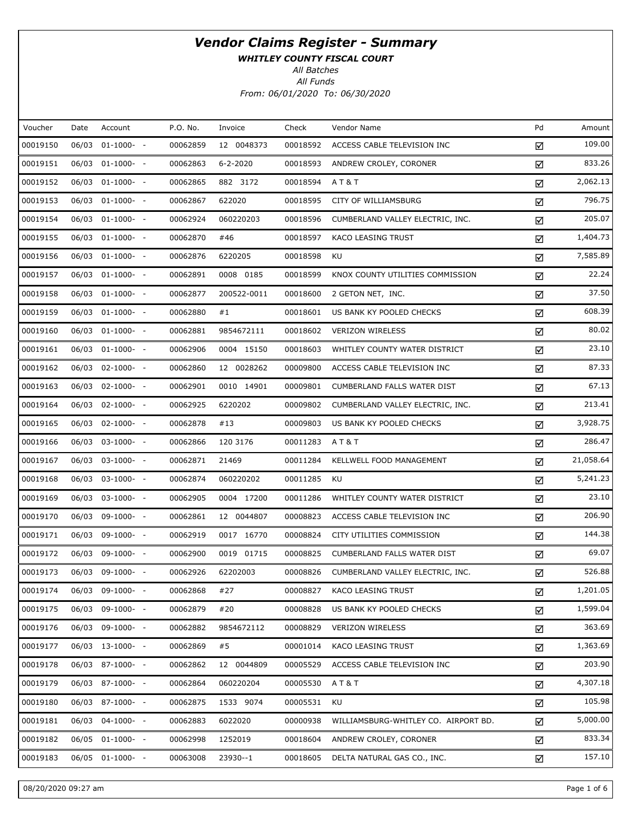WHITLEY COUNTY FISCAL COURT

All Batches

| Voucher  | Date  | Account          | P.O. No. | Invoice        | Check    | Vendor Name                          | Pd | Amount    |
|----------|-------|------------------|----------|----------------|----------|--------------------------------------|----|-----------|
| 00019150 | 06/03 | $01-1000-$       | 00062859 | 12 0048373     | 00018592 | ACCESS CABLE TELEVISION INC          | ☑  | 109.00    |
| 00019151 | 06/03 | $01-1000-$       | 00062863 | $6 - 2 - 2020$ | 00018593 | ANDREW CROLEY, CORONER               | ☑  | 833.26    |
| 00019152 | 06/03 | $01-1000- -$     | 00062865 | 882 3172       | 00018594 | AT&T                                 | ☑  | 2,062.13  |
| 00019153 | 06/03 | $01-1000-$       | 00062867 | 622020         | 00018595 | CITY OF WILLIAMSBURG                 | ☑  | 796.75    |
| 00019154 | 06/03 | $01-1000-$       | 00062924 | 060220203      | 00018596 | CUMBERLAND VALLEY ELECTRIC, INC.     | ☑  | 205.07    |
| 00019155 | 06/03 | $01-1000-$       | 00062870 | #46            | 00018597 | KACO LEASING TRUST                   | ☑  | 1,404.73  |
| 00019156 | 06/03 | $01-1000-$ -     | 00062876 | 6220205        | 00018598 | KU                                   | ☑  | 7,585.89  |
| 00019157 | 06/03 | $01-1000-$       | 00062891 | 0008 0185      | 00018599 | KNOX COUNTY UTILITIES COMMISSION     | ☑  | 22.24     |
| 00019158 | 06/03 | $01-1000- -$     | 00062877 | 200522-0011    | 00018600 | 2 GETON NET, INC.                    | ☑  | 37.50     |
| 00019159 | 06/03 | $01-1000-$ -     | 00062880 | #1             | 00018601 | US BANK KY POOLED CHECKS             | ☑  | 608.39    |
| 00019160 | 06/03 | $01-1000-$       | 00062881 | 9854672111     | 00018602 | <b>VERIZON WIRELESS</b>              | ☑  | 80.02     |
| 00019161 | 06/03 | $01-1000-$ -     | 00062906 | 0004 15150     | 00018603 | WHITLEY COUNTY WATER DISTRICT        | ☑  | 23.10     |
| 00019162 | 06/03 | $02-1000- -$     | 00062860 | 12 0028262     | 00009800 | ACCESS CABLE TELEVISION INC          | ☑  | 87.33     |
| 00019163 | 06/03 | $02 - 1000 - -$  | 00062901 | 0010 14901     | 00009801 | CUMBERLAND FALLS WATER DIST          | ☑  | 67.13     |
| 00019164 | 06/03 | $02-1000- -$     | 00062925 | 6220202        | 00009802 | CUMBERLAND VALLEY ELECTRIC, INC.     | ☑  | 213.41    |
| 00019165 | 06/03 | $02 - 1000 - -$  | 00062878 | #13            | 00009803 | US BANK KY POOLED CHECKS             | ☑  | 3,928.75  |
| 00019166 | 06/03 | $03-1000- -$     | 00062866 | 120 3176       | 00011283 | AT&T                                 | ☑  | 286.47    |
| 00019167 | 06/03 | $03-1000- -$     | 00062871 | 21469          | 00011284 | KELLWELL FOOD MANAGEMENT             | ☑  | 21,058.64 |
| 00019168 | 06/03 | $03-1000- -$     | 00062874 | 060220202      | 00011285 | KU                                   | ☑  | 5,241.23  |
| 00019169 | 06/03 | 03-1000- -       | 00062905 | 0004 17200     | 00011286 | WHITLEY COUNTY WATER DISTRICT        | ☑  | 23.10     |
| 00019170 | 06/03 | $09-1000- -$     | 00062861 | 12 0044807     | 00008823 | ACCESS CABLE TELEVISION INC          | ☑  | 206.90    |
| 00019171 | 06/03 | 09-1000- -       | 00062919 | 0017 16770     | 00008824 | CITY UTILITIES COMMISSION            | ☑  | 144.38    |
| 00019172 | 06/03 | 09-1000- -       | 00062900 | 0019 01715     | 00008825 | CUMBERLAND FALLS WATER DIST          | ☑  | 69.07     |
| 00019173 |       | 06/03 09-1000- - | 00062926 | 62202003       | 00008826 | CUMBERLAND VALLEY ELECTRIC, INC.     | ☑  | 526.88    |
| 00019174 | 06/03 | 09-1000- -       | 00062868 | #27            | 00008827 | KACO LEASING TRUST                   | ☑  | 1,201.05  |
| 00019175 | 06/03 | 09-1000- -       | 00062879 | #20            | 00008828 | US BANK KY POOLED CHECKS             | ☑  | 1,599.04  |
| 00019176 | 06/03 | 09-1000- -       | 00062882 | 9854672112     | 00008829 | <b>VERIZON WIRELESS</b>              | ☑  | 363.69    |
| 00019177 |       | 06/03 13-1000- - | 00062869 | #5             | 00001014 | KACO LEASING TRUST                   | ☑  | 1,363.69  |
| 00019178 |       | 06/03 87-1000- - | 00062862 | 12 0044809     | 00005529 | ACCESS CABLE TELEVISION INC          | ☑  | 203.90    |
| 00019179 | 06/03 | 87-1000- -       | 00062864 | 060220204      | 00005530 | AT&T                                 | ☑  | 4,307.18  |
| 00019180 |       | 06/03 87-1000- - | 00062875 | 1533 9074      | 00005531 | KU                                   | ☑  | 105.98    |
| 00019181 | 06/03 | $04-1000- -$     | 00062883 | 6022020        | 00000938 | WILLIAMSBURG-WHITLEY CO. AIRPORT BD. | ☑  | 5,000.00  |
| 00019182 |       | 06/05 01-1000- - | 00062998 | 1252019        | 00018604 | ANDREW CROLEY, CORONER               | ☑  | 833.34    |
| 00019183 |       | 06/05 01-1000- - | 00063008 | 23930--1       | 00018605 | DELTA NATURAL GAS CO., INC.          | ☑  | 157.10    |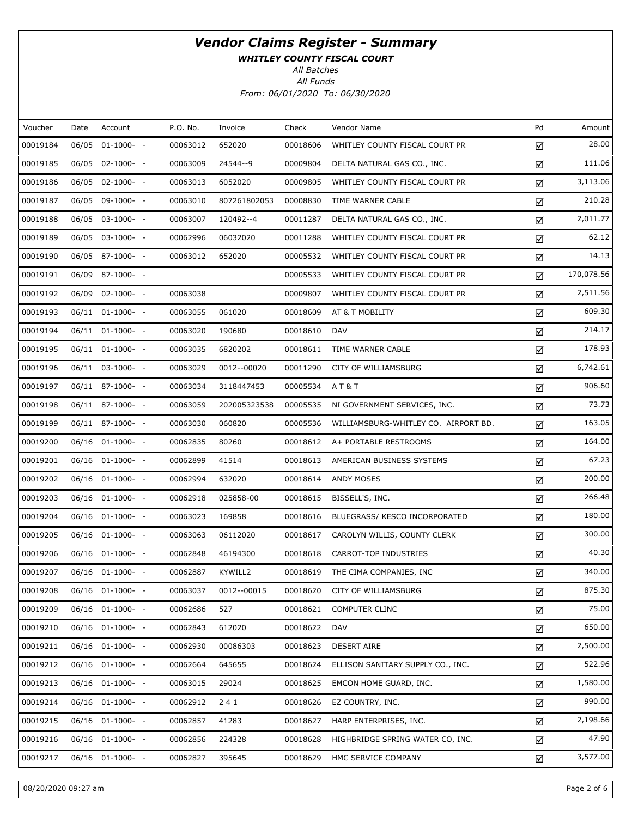WHITLEY COUNTY FISCAL COURT

All Batches

| Voucher  | Date  | Account               | P.O. No. | Invoice      | Check    | Vendor Name                          | Pd | Amount     |
|----------|-------|-----------------------|----------|--------------|----------|--------------------------------------|----|------------|
| 00019184 | 06/05 | $01-1000-$            | 00063012 | 652020       | 00018606 | WHITLEY COUNTY FISCAL COURT PR       | ☑  | 28.00      |
| 00019185 |       | 06/05 02-1000- -      | 00063009 | 24544--9     | 00009804 | DELTA NATURAL GAS CO., INC.          | ☑  | 111.06     |
| 00019186 |       | 06/05 02-1000- -      | 00063013 | 6052020      | 00009805 | WHITLEY COUNTY FISCAL COURT PR       | ☑  | 3,113.06   |
| 00019187 |       | 06/05 09-1000- -      | 00063010 | 807261802053 | 00008830 | TIME WARNER CABLE                    | ☑  | 210.28     |
| 00019188 |       | 06/05 03-1000- -      | 00063007 | 120492--4    | 00011287 | DELTA NATURAL GAS CO., INC.          | ☑  | 2,011.77   |
| 00019189 |       | $06/05$ 03-1000- -    | 00062996 | 06032020     | 00011288 | WHITLEY COUNTY FISCAL COURT PR       | ☑  | 62.12      |
| 00019190 |       | 06/05 87-1000- -      | 00063012 | 652020       | 00005532 | WHITLEY COUNTY FISCAL COURT PR       | ☑  | 14.13      |
| 00019191 |       | 06/09 87-1000- -      |          |              | 00005533 | WHITLEY COUNTY FISCAL COURT PR       | ☑  | 170,078.56 |
| 00019192 |       | 06/09 02-1000- -      | 00063038 |              | 00009807 | WHITLEY COUNTY FISCAL COURT PR       | ☑  | 2,511.56   |
| 00019193 |       | $06/11$ $01-1000-$ -  | 00063055 | 061020       | 00018609 | AT & T MOBILITY                      | ☑  | 609.30     |
| 00019194 |       | $06/11$ $01-1000-$ -  | 00063020 | 190680       | 00018610 | <b>DAV</b>                           | ☑  | 214.17     |
| 00019195 |       | $06/11$ $01-1000-$ -  | 00063035 | 6820202      | 00018611 | TIME WARNER CABLE                    | ☑  | 178.93     |
| 00019196 |       | $06/11$ $03-1000-$ -  | 00063029 | 0012--00020  | 00011290 | CITY OF WILLIAMSBURG                 | ☑  | 6,742.61   |
| 00019197 |       | $06/11$ 87-1000- -    | 00063034 | 3118447453   | 00005534 | <b>AT&amp;T</b>                      | ☑  | 906.60     |
| 00019198 |       | $06/11$ 87-1000- -    | 00063059 | 202005323538 | 00005535 | NI GOVERNMENT SERVICES, INC.         | ☑  | 73.73      |
| 00019199 |       | $06/11$ 87-1000- -    | 00063030 | 060820       | 00005536 | WILLIAMSBURG-WHITLEY CO. AIRPORT BD. | ☑  | 163.05     |
| 00019200 |       | $06/16$ $01-1000$ - - | 00062835 | 80260        | 00018612 | A+ PORTABLE RESTROOMS                | ☑  | 164.00     |
| 00019201 |       | $06/16$ $01-1000-$ -  | 00062899 | 41514        | 00018613 | AMERICAN BUSINESS SYSTEMS            | ☑  | 67.23      |
| 00019202 |       | $06/16$ $01-1000$ - - | 00062994 | 632020       | 00018614 | ANDY MOSES                           | ☑  | 200.00     |
| 00019203 |       | $06/16$ $01-1000-$ -  | 00062918 | 025858-00    | 00018615 | BISSELL'S, INC.                      | ☑  | 266.48     |
| 00019204 |       | 06/16 01-1000- -      | 00063023 | 169858       | 00018616 | BLUEGRASS/ KESCO INCORPORATED        | ☑  | 180.00     |
| 00019205 |       | $06/16$ $01-1000-$ -  | 00063063 | 06112020     | 00018617 | CAROLYN WILLIS, COUNTY CLERK         | ☑  | 300.00     |
| 00019206 |       | $06/16$ $01-1000-$ -  | 00062848 | 46194300     | 00018618 | CARROT-TOP INDUSTRIES                | ☑  | 40.30      |
| 00019207 |       | 06/16 01-1000- -      | 00062887 | KYWILL2      | 00018619 | THE CIMA COMPANIES, INC              | ☑  | 340.00     |
| 00019208 |       | 06/16 01-1000- -      | 00063037 | 0012--00015  | 00018620 | CITY OF WILLIAMSBURG                 | ☑  | 875.30     |
| 00019209 |       | 06/16 01-1000- -      | 00062686 | 527          | 00018621 | <b>COMPUTER CLINC</b>                | ☑  | 75.00      |
| 00019210 |       | $06/16$ $01-1000-$ -  | 00062843 | 612020       | 00018622 | DAV                                  | ☑  | 650.00     |
| 00019211 |       | $06/16$ $01-1000-$ -  | 00062930 | 00086303     | 00018623 | <b>DESERT AIRE</b>                   | ☑  | 2,500.00   |
| 00019212 |       | 06/16 01-1000- -      | 00062664 | 645655       | 00018624 | ELLISON SANITARY SUPPLY CO., INC.    | ☑  | 522.96     |
| 00019213 |       | $06/16$ $01-1000-$ -  | 00063015 | 29024        | 00018625 | EMCON HOME GUARD, INC.               | ☑  | 1,580.00   |
| 00019214 |       | 06/16 01-1000- -      | 00062912 | 241          | 00018626 | EZ COUNTRY, INC.                     | ☑  | 990.00     |
| 00019215 |       | $06/16$ $01-1000$ - - | 00062857 | 41283        | 00018627 | HARP ENTERPRISES, INC.               | ☑  | 2,198.66   |
| 00019216 |       | 06/16 01-1000- -      | 00062856 | 224328       | 00018628 | HIGHBRIDGE SPRING WATER CO, INC.     | ☑  | 47.90      |
| 00019217 |       | 06/16 01-1000- -      | 00062827 | 395645       | 00018629 | HMC SERVICE COMPANY                  | ☑  | 3,577.00   |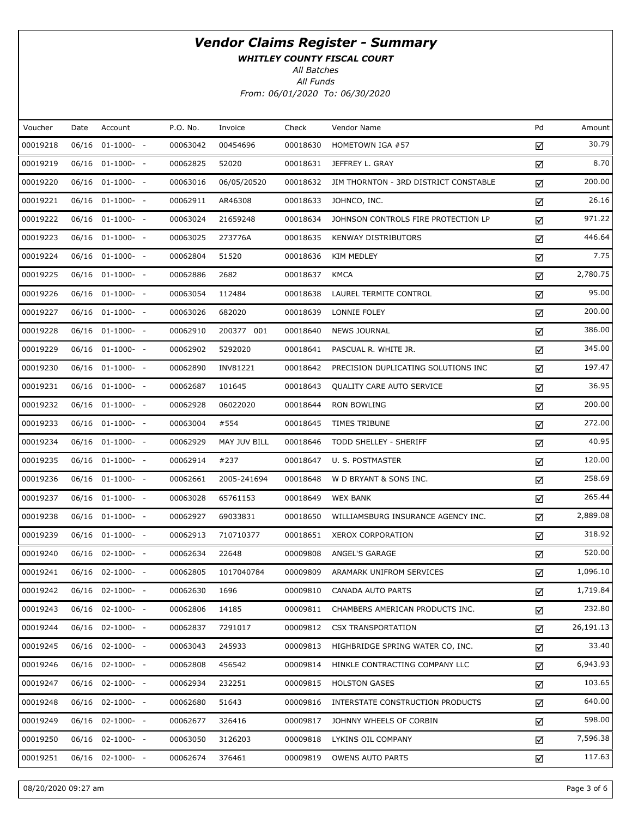WHITLEY COUNTY FISCAL COURT

All Batches

| Voucher  | Date  | Account               | P.O. No. | Invoice      | Check    | Vendor Name                           | Pd | Amount    |
|----------|-------|-----------------------|----------|--------------|----------|---------------------------------------|----|-----------|
| 00019218 | 06/16 | $01-1000-$ -          | 00063042 | 00454696     | 00018630 | HOMETOWN IGA #57                      | ☑  | 30.79     |
| 00019219 |       | $06/16$ $01-1000-$ -  | 00062825 | 52020        | 00018631 | JEFFREY L. GRAY                       | ☑  | 8.70      |
| 00019220 |       | 06/16 01-1000- -      | 00063016 | 06/05/20520  | 00018632 | JIM THORNTON - 3RD DISTRICT CONSTABLE | ☑  | 200.00    |
| 00019221 |       | 06/16 01-1000- -      | 00062911 | AR46308      | 00018633 | JOHNCO, INC.                          | ☑  | 26.16     |
| 00019222 |       | 06/16 01-1000- -      | 00063024 | 21659248     | 00018634 | JOHNSON CONTROLS FIRE PROTECTION LP   | ☑  | 971.22    |
| 00019223 |       | $06/16$ $01-1000-$ -  | 00063025 | 273776A      | 00018635 | <b>KENWAY DISTRIBUTORS</b>            | ☑  | 446.64    |
| 00019224 |       | $06/16$ $01-1000-$ -  | 00062804 | 51520        | 00018636 | <b>KIM MEDLEY</b>                     | ☑  | 7.75      |
| 00019225 |       | $06/16$ $01-1000-$ -  | 00062886 | 2682         | 00018637 | <b>KMCA</b>                           | ☑  | 2,780.75  |
| 00019226 |       | 06/16 01-1000- -      | 00063054 | 112484       | 00018638 | LAUREL TERMITE CONTROL                | ☑  | 95.00     |
| 00019227 |       | $06/16$ $01-1000-$ -  | 00063026 | 682020       | 00018639 | LONNIE FOLEY                          | ☑  | 200.00    |
| 00019228 |       | 06/16 01-1000- -      | 00062910 | 200377 001   | 00018640 | <b>NEWS JOURNAL</b>                   | ☑  | 386.00    |
| 00019229 |       | $06/16$ $01-1000-$ -  | 00062902 | 5292020      | 00018641 | PASCUAL R. WHITE JR.                  | ☑  | 345.00    |
| 00019230 |       | $06/16$ $01-1000-$ -  | 00062890 | INV81221     | 00018642 | PRECISION DUPLICATING SOLUTIONS INC   | ☑  | 197.47    |
| 00019231 |       | $06/16$ $01-1000-$ -  | 00062687 | 101645       | 00018643 | QUALITY CARE AUTO SERVICE             | ☑  | 36.95     |
| 00019232 |       | 06/16 01-1000- -      | 00062928 | 06022020     | 00018644 | <b>RON BOWLING</b>                    | ☑  | 200.00    |
| 00019233 |       | $06/16$ $01-1000-$ -  | 00063004 | #554         | 00018645 | TIMES TRIBUNE                         | ☑  | 272.00    |
| 00019234 |       | 06/16 01-1000- -      | 00062929 | MAY JUV BILL | 00018646 | TODD SHELLEY - SHERIFF                | ☑  | 40.95     |
| 00019235 |       | 06/16 01-1000- -      | 00062914 | #237         | 00018647 | U. S. POSTMASTER                      | ☑  | 120.00    |
| 00019236 |       | 06/16 01-1000- -      | 00062661 | 2005-241694  | 00018648 | W D BRYANT & SONS INC.                | ☑  | 258.69    |
| 00019237 |       | 06/16 01-1000- -      | 00063028 | 65761153     | 00018649 | <b>WEX BANK</b>                       | ☑  | 265.44    |
| 00019238 |       | 06/16 01-1000- -      | 00062927 | 69033831     | 00018650 | WILLIAMSBURG INSURANCE AGENCY INC.    | ☑  | 2,889.08  |
| 00019239 |       | $06/16$ $01-1000-$ -  | 00062913 | 710710377    | 00018651 | <b>XEROX CORPORATION</b>              | ☑  | 318.92    |
| 00019240 |       | 06/16 02-1000- -      | 00062634 | 22648        | 00009808 | ANGEL'S GARAGE                        | ☑  | 520.00    |
| 00019241 |       | 06/16 02-1000- -      | 00062805 | 1017040784   | 00009809 | ARAMARK UNIFROM SERVICES              | ☑  | 1,096.10  |
| 00019242 |       | 06/16 02-1000- -      | 00062630 | 1696         | 00009810 | CANADA AUTO PARTS                     | ☑  | 1,719.84  |
| 00019243 |       | $06/16$ $02-1000$ - - | 00062806 | 14185        | 00009811 | CHAMBERS AMERICAN PRODUCTS INC.       | ☑  | 232.80    |
| 00019244 |       | $06/16$ $02-1000$ - - | 00062837 | 7291017      | 00009812 | <b>CSX TRANSPORTATION</b>             | ☑  | 26,191.13 |
| 00019245 |       | $06/16$ $02-1000$ - - | 00063043 | 245933       | 00009813 | HIGHBRIDGE SPRING WATER CO, INC.      | ☑  | 33.40     |
| 00019246 |       | $06/16$ 02-1000- -    | 00062808 | 456542       | 00009814 | HINKLE CONTRACTING COMPANY LLC        | ☑  | 6,943.93  |
| 00019247 |       | $06/16$ $02-1000$ - - | 00062934 | 232251       | 00009815 | <b>HOLSTON GASES</b>                  | ☑  | 103.65    |
| 00019248 |       | 06/16 02-1000- -      | 00062680 | 51643        | 00009816 | INTERSTATE CONSTRUCTION PRODUCTS      | ☑  | 640.00    |
| 00019249 |       | $06/16$ $02-1000$ - - | 00062677 | 326416       | 00009817 | JOHNNY WHEELS OF CORBIN               | ☑  | 598.00    |
| 00019250 |       | 06/16 02-1000- -      | 00063050 | 3126203      | 00009818 | LYKINS OIL COMPANY                    | ☑  | 7,596.38  |
| 00019251 |       | 06/16 02-1000- -      | 00062674 | 376461       | 00009819 | <b>OWENS AUTO PARTS</b>               | ☑  | 117.63    |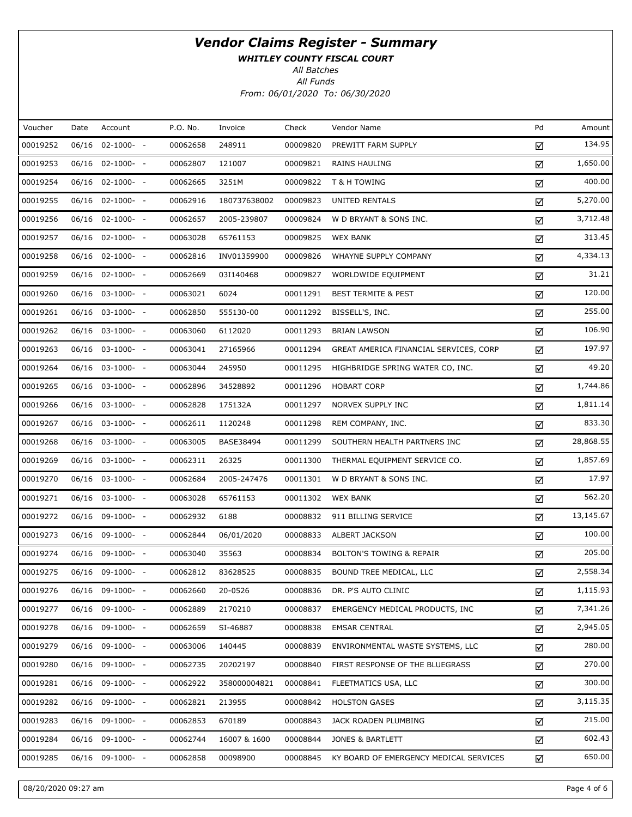WHITLEY COUNTY FISCAL COURT

All Batches

| Voucher  | Date  | Account               | P.O. No. | Invoice      | Check    | Vendor Name                            | Pd | Amount    |
|----------|-------|-----------------------|----------|--------------|----------|----------------------------------------|----|-----------|
| 00019252 | 06/16 | $02-1000- -$          | 00062658 | 248911       | 00009820 | PREWITT FARM SUPPLY                    | ☑  | 134.95    |
| 00019253 |       | $06/16$ 02-1000- -    | 00062807 | 121007       | 00009821 | RAINS HAULING                          | ☑  | 1,650.00  |
| 00019254 | 06/16 | $02 - 1000 - -$       | 00062665 | 3251M        | 00009822 | T & H TOWING                           | ☑  | 400.00    |
| 00019255 |       | $06/16$ 02-1000- -    | 00062916 | 180737638002 | 00009823 | UNITED RENTALS                         | ☑  | 5,270.00  |
| 00019256 | 06/16 | $02 - 1000 - -$       | 00062657 | 2005-239807  | 00009824 | W D BRYANT & SONS INC.                 | ☑  | 3,712.48  |
| 00019257 |       | $06/16$ 02-1000- -    | 00063028 | 65761153     | 00009825 | <b>WEX BANK</b>                        | ☑  | 313.45    |
| 00019258 |       | $06/16$ 02-1000- -    | 00062816 | INV01359900  | 00009826 | WHAYNE SUPPLY COMPANY                  | ☑  | 4,334.13  |
| 00019259 |       | $06/16$ 02-1000- -    | 00062669 | 03I140468    | 00009827 | WORLDWIDE EQUIPMENT                    | ☑  | 31.21     |
| 00019260 | 06/16 | $03-1000- -$          | 00063021 | 6024         | 00011291 | <b>BEST TERMITE &amp; PEST</b>         | ☑  | 120.00    |
| 00019261 |       | 06/16 03-1000- -      | 00062850 | 555130-00    | 00011292 | BISSELL'S, INC.                        | ☑  | 255.00    |
| 00019262 | 06/16 | $03-1000- -$          | 00063060 | 6112020      | 00011293 | <b>BRIAN LAWSON</b>                    | ☑  | 106.90    |
| 00019263 |       | 06/16 03-1000- -      | 00063041 | 27165966     | 00011294 | GREAT AMERICA FINANCIAL SERVICES, CORP | ☑  | 197.97    |
| 00019264 |       | $06/16$ $03-1000$ - - | 00063044 | 245950       | 00011295 | HIGHBRIDGE SPRING WATER CO, INC.       | ☑  | 49.20     |
| 00019265 |       | 06/16 03-1000- -      | 00062896 | 34528892     | 00011296 | <b>HOBART CORP</b>                     | ☑  | 1,744.86  |
| 00019266 |       | $06/16$ $03-1000$ - - | 00062828 | 175132A      | 00011297 | NORVEX SUPPLY INC                      | ☑  | 1,811.14  |
| 00019267 |       | 06/16 03-1000- -      | 00062611 | 1120248      | 00011298 | REM COMPANY, INC.                      | ☑  | 833.30    |
| 00019268 | 06/16 | $03-1000- -$          | 00063005 | BASE38494    | 00011299 | SOUTHERN HEALTH PARTNERS INC           | ☑  | 28,868.55 |
| 00019269 |       | $06/16$ $03-1000$ - - | 00062311 | 26325        | 00011300 | THERMAL EQUIPMENT SERVICE CO.          | ☑  | 1,857.69  |
| 00019270 | 06/16 | $03-1000- -$          | 00062684 | 2005-247476  | 00011301 | W D BRYANT & SONS INC.                 | ☑  | 17.97     |
| 00019271 |       | $06/16$ $03-1000$ - - | 00063028 | 65761153     | 00011302 | <b>WEX BANK</b>                        | ☑  | 562.20    |
| 00019272 | 06/16 | 09-1000- -            | 00062932 | 6188         | 00008832 | 911 BILLING SERVICE                    | ☑  | 13,145.67 |
| 00019273 |       | $06/16$ 09-1000- -    | 00062844 | 06/01/2020   | 00008833 | ALBERT JACKSON                         | ☑  | 100.00    |
| 00019274 | 06/16 | 09-1000- -            | 00063040 | 35563        | 00008834 | <b>BOLTON'S TOWING &amp; REPAIR</b>    | ☑  | 205.00    |
| 00019275 |       | 06/16 09-1000- -      | 00062812 | 83628525     | 00008835 | BOUND TREE MEDICAL, LLC                | ☑  | 2,558.34  |
| 00019276 |       | 06/16 09-1000- -      | 00062660 | 20-0526      | 00008836 | DR. P'S AUTO CLINIC                    | ☑  | 1,115.93  |
| 00019277 | 06/16 | 09-1000- -            | 00062889 | 2170210      | 00008837 | EMERGENCY MEDICAL PRODUCTS, INC        | ☑  | 7,341.26  |
| 00019278 |       | 06/16 09-1000- -      | 00062659 | SI-46887     | 00008838 | <b>EMSAR CENTRAL</b>                   | ☑  | 2,945.05  |
| 00019279 | 06/16 | $09-1000- -$          | 00063006 | 140445       | 00008839 | ENVIRONMENTAL WASTE SYSTEMS, LLC       | ☑  | 280.00    |
| 00019280 |       | 06/16 09-1000- -      | 00062735 | 20202197     | 00008840 | FIRST RESPONSE OF THE BLUEGRASS        | ☑  | 270.00    |
| 00019281 | 06/16 | 09-1000- -            | 00062922 | 358000004821 | 00008841 | FLEETMATICS USA, LLC                   | ☑  | 300.00    |
| 00019282 |       | 06/16 09-1000- -      | 00062821 | 213955       | 00008842 | <b>HOLSTON GASES</b>                   | ☑  | 3,115.35  |
| 00019283 | 06/16 | 09-1000- -            | 00062853 | 670189       | 00008843 | JACK ROADEN PLUMBING                   | ☑  | 215.00    |
| 00019284 |       | 06/16 09-1000- -      | 00062744 | 16007 & 1600 | 00008844 | JONES & BARTLETT                       | ☑  | 602.43    |
| 00019285 |       | 06/16 09-1000- -      | 00062858 | 00098900     | 00008845 | KY BOARD OF EMERGENCY MEDICAL SERVICES | ☑  | 650.00    |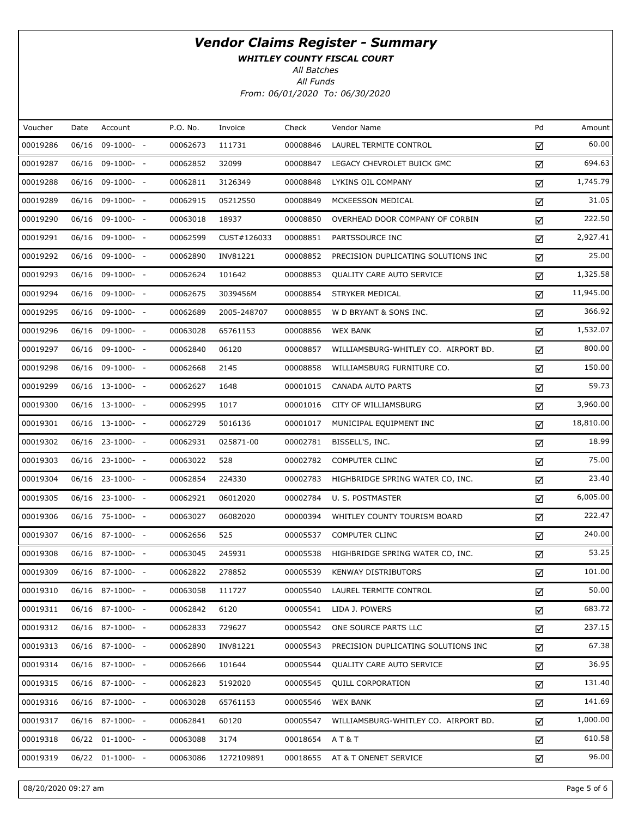WHITLEY COUNTY FISCAL COURT

All Batches

| Voucher  | Date | Account            | P.O. No. | Invoice     | Check    | Vendor Name                          | Pd | Amount    |
|----------|------|--------------------|----------|-------------|----------|--------------------------------------|----|-----------|
| 00019286 |      | 06/16 09-1000- -   | 00062673 | 111731      | 00008846 | LAUREL TERMITE CONTROL               | ☑  | 60.00     |
| 00019287 |      | $06/16$ 09-1000- - | 00062852 | 32099       | 00008847 | LEGACY CHEVROLET BUICK GMC           | ☑  | 694.63    |
| 00019288 |      | 06/16 09-1000- -   | 00062811 | 3126349     | 00008848 | LYKINS OIL COMPANY                   | ☑  | 1,745.79  |
| 00019289 |      | 06/16 09-1000- -   | 00062915 | 05212550    | 00008849 | MCKEESSON MEDICAL                    | ☑  | 31.05     |
| 00019290 |      | 06/16 09-1000- -   | 00063018 | 18937       | 00008850 | OVERHEAD DOOR COMPANY OF CORBIN      | ☑  | 222.50    |
| 00019291 |      | 06/16 09-1000- -   | 00062599 | CUST#126033 | 00008851 | PARTSSOURCE INC                      | ☑  | 2,927.41  |
| 00019292 |      | 06/16 09-1000- -   | 00062890 | INV81221    | 00008852 | PRECISION DUPLICATING SOLUTIONS INC  | ☑  | 25.00     |
| 00019293 |      | 06/16 09-1000- -   | 00062624 | 101642      | 00008853 | QUALITY CARE AUTO SERVICE            | ☑  | 1,325.58  |
| 00019294 |      | 06/16 09-1000- -   | 00062675 | 3039456M    | 00008854 | STRYKER MEDICAL                      | ☑  | 11,945.00 |
| 00019295 |      | 06/16 09-1000- -   | 00062689 | 2005-248707 | 00008855 | W D BRYANT & SONS INC.               | ☑  | 366.92    |
| 00019296 |      | 06/16 09-1000- -   | 00063028 | 65761153    | 00008856 | <b>WEX BANK</b>                      | ☑  | 1,532.07  |
| 00019297 |      | 06/16 09-1000- -   | 00062840 | 06120       | 00008857 | WILLIAMSBURG-WHITLEY CO. AIRPORT BD. | ☑  | 800.00    |
| 00019298 |      | 06/16 09-1000- -   | 00062668 | 2145        | 00008858 | WILLIAMSBURG FURNITURE CO.           | ☑  | 150.00    |
| 00019299 |      | $06/16$ 13-1000- - | 00062627 | 1648        | 00001015 | <b>CANADA AUTO PARTS</b>             | ☑  | 59.73     |
| 00019300 |      | 06/16 13-1000- -   | 00062995 | 1017        | 00001016 | CITY OF WILLIAMSBURG                 | ☑  | 3,960.00  |
| 00019301 |      | 06/16 13-1000- -   | 00062729 | 5016136     | 00001017 | MUNICIPAL EQUIPMENT INC              | ☑  | 18,810.00 |
| 00019302 |      | 06/16 23-1000- -   | 00062931 | 025871-00   | 00002781 | BISSELL'S, INC.                      | ☑  | 18.99     |
| 00019303 |      | 06/16 23-1000- -   | 00063022 | 528         | 00002782 | <b>COMPUTER CLINC</b>                | ☑  | 75.00     |
| 00019304 |      | 06/16 23-1000- -   | 00062854 | 224330      | 00002783 | HIGHBRIDGE SPRING WATER CO, INC.     | ☑  | 23.40     |
| 00019305 |      | 06/16 23-1000- -   | 00062921 | 06012020    | 00002784 | U. S. POSTMASTER                     | ☑  | 6,005.00  |
| 00019306 |      | 06/16 75-1000- -   | 00063027 | 06082020    | 00000394 | WHITLEY COUNTY TOURISM BOARD         | ☑  | 222.47    |
| 00019307 |      | $06/16$ 87-1000- - | 00062656 | 525         | 00005537 | <b>COMPUTER CLINC</b>                | ☑  | 240.00    |
| 00019308 |      | 06/16 87-1000- -   | 00063045 | 245931      | 00005538 | HIGHBRIDGE SPRING WATER CO, INC.     | ☑  | 53.25     |
| 00019309 |      | 06/16 87-1000- -   | 00062822 | 278852      | 00005539 | <b>KENWAY DISTRIBUTORS</b>           | ☑  | 101.00    |
| 00019310 |      | 06/16 87-1000- -   | 00063058 | 111727      | 00005540 | LAUREL TERMITE CONTROL               | ☑  | 50.00     |
| 00019311 |      | $06/16$ 87-1000- - | 00062842 | 6120        | 00005541 | LIDA J. POWERS                       | ☑  | 683.72    |
| 00019312 |      | $06/16$ 87-1000- - | 00062833 | 729627      | 00005542 | ONE SOURCE PARTS LLC                 | ☑  | 237.15    |
| 00019313 |      | 06/16 87-1000- -   | 00062890 | INV81221    | 00005543 | PRECISION DUPLICATING SOLUTIONS INC  | ☑  | 67.38     |
| 00019314 |      | $06/16$ 87-1000- - | 00062666 | 101644      | 00005544 | <b>QUALITY CARE AUTO SERVICE</b>     | ☑  | 36.95     |
| 00019315 |      | 06/16 87-1000- -   | 00062823 | 5192020     | 00005545 | <b>QUILL CORPORATION</b>             | ☑  | 131.40    |
| 00019316 |      | $06/16$ 87-1000- - | 00063028 | 65761153    | 00005546 | <b>WEX BANK</b>                      | ☑  | 141.69    |
| 00019317 |      | $06/16$ 87-1000- - | 00062841 | 60120       | 00005547 | WILLIAMSBURG-WHITLEY CO. AIRPORT BD. | ☑  | 1,000.00  |
| 00019318 |      | 06/22 01-1000- -   | 00063088 | 3174        | 00018654 | AT&T                                 | ☑  | 610.58    |
| 00019319 |      | 06/22 01-1000- -   | 00063086 | 1272109891  | 00018655 | AT & T ONENET SERVICE                | ☑  | 96.00     |